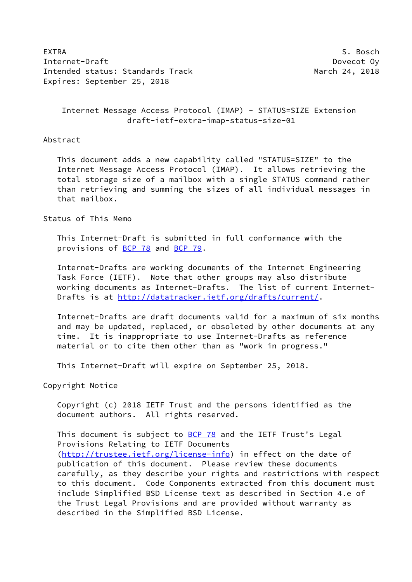EXTRA S. Bosch (Section 2008) and the section of the section of the Section 1 of the Section 1 of the Section 1 Internet-Draft **Dovecot Oy** Intended status: Standards Track March 24, 2018 Expires: September 25, 2018

 Internet Message Access Protocol (IMAP) - STATUS=SIZE Extension draft-ietf-extra-imap-status-size-01

### Abstract

 This document adds a new capability called "STATUS=SIZE" to the Internet Message Access Protocol (IMAP). It allows retrieving the total storage size of a mailbox with a single STATUS command rather than retrieving and summing the sizes of all individual messages in that mailbox.

## Status of This Memo

 This Internet-Draft is submitted in full conformance with the provisions of [BCP 78](https://datatracker.ietf.org/doc/pdf/bcp78) and [BCP 79](https://datatracker.ietf.org/doc/pdf/bcp79).

 Internet-Drafts are working documents of the Internet Engineering Task Force (IETF). Note that other groups may also distribute working documents as Internet-Drafts. The list of current Internet- Drafts is at<http://datatracker.ietf.org/drafts/current/>.

 Internet-Drafts are draft documents valid for a maximum of six months and may be updated, replaced, or obsoleted by other documents at any time. It is inappropriate to use Internet-Drafts as reference material or to cite them other than as "work in progress."

This Internet-Draft will expire on September 25, 2018.

Copyright Notice

 Copyright (c) 2018 IETF Trust and the persons identified as the document authors. All rights reserved.

This document is subject to **[BCP 78](https://datatracker.ietf.org/doc/pdf/bcp78)** and the IETF Trust's Legal Provisions Relating to IETF Documents [\(http://trustee.ietf.org/license-info](http://trustee.ietf.org/license-info)) in effect on the date of publication of this document. Please review these documents carefully, as they describe your rights and restrictions with respect to this document. Code Components extracted from this document must include Simplified BSD License text as described in Section 4.e of the Trust Legal Provisions and are provided without warranty as described in the Simplified BSD License.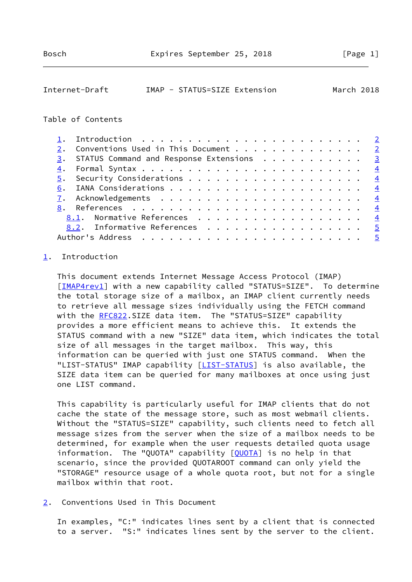<span id="page-1-1"></span>

| Internet-Draft | IMAP - STATUS=SIZE Extension |  | March 2018 |
|----------------|------------------------------|--|------------|
|----------------|------------------------------|--|------------|

### Table of Contents

| 2. Conventions Used in This Document 2      |  |
|---------------------------------------------|--|
| 3. STATUS Command and Response Extensions 3 |  |
|                                             |  |
|                                             |  |
|                                             |  |
|                                             |  |
|                                             |  |
| 8.1. Normative References 4                 |  |
| 8.2. Informative References<br>$-5$         |  |
|                                             |  |

# <span id="page-1-0"></span>[1](#page-1-0). Introduction

 This document extends Internet Message Access Protocol (IMAP) [\[IMAP4rev1](#page-4-5)] with a new capability called "STATUS=SIZE". To determine the total storage size of a mailbox, an IMAP client currently needs to retrieve all message sizes individually using the FETCH command with the [RFC822](https://datatracker.ietf.org/doc/pdf/rfc822).SIZE data item. The "STATUS=SIZE" capability provides a more efficient means to achieve this. It extends the STATUS command with a new "SIZE" data item, which indicates the total size of all messages in the target mailbox. This way, this information can be queried with just one STATUS command. When the "[LIST-STATUS](#page-4-6)" IMAP capability [LIST-STATUS] is also available, the SIZE data item can be queried for many mailboxes at once using just one LIST command.

 This capability is particularly useful for IMAP clients that do not cache the state of the message store, such as most webmail clients. Without the "STATUS=SIZE" capability, such clients need to fetch all message sizes from the server when the size of a mailbox needs to be determined, for example when the user requests detailed quota usage information. The "QUOTA" capability [\[QUOTA\]](#page-4-7) is no help in that scenario, since the provided QUOTAROOT command can only yield the "STORAGE" resource usage of a whole quota root, but not for a single mailbox within that root.

<span id="page-1-2"></span>[2](#page-1-2). Conventions Used in This Document

 In examples, "C:" indicates lines sent by a client that is connected to a server. "S:" indicates lines sent by the server to the client.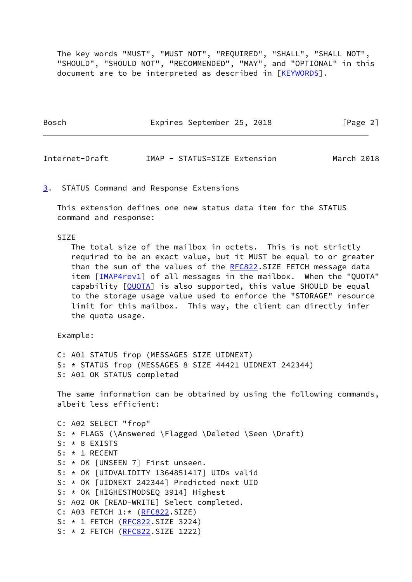The key words "MUST", "MUST NOT", "REQUIRED", "SHALL", "SHALL NOT", "SHOULD", "SHOULD NOT", "RECOMMENDED", "MAY", and "OPTIONAL" in this document are to be interpreted as described in [\[KEYWORDS](#page-4-8)].

| Bosch | Expires September 25, 2018 | [Page 2] |
|-------|----------------------------|----------|
|       |                            |          |

<span id="page-2-1"></span>Internet-Draft IMAP - STATUS=SIZE Extension March 2018

<span id="page-2-0"></span>[3](#page-2-0). STATUS Command and Response Extensions

 This extension defines one new status data item for the STATUS command and response:

### ST<sub>7</sub>F

 The total size of the mailbox in octets. This is not strictly required to be an exact value, but it MUST be equal to or greater than the sum of the values of the [RFC822](https://datatracker.ietf.org/doc/pdf/rfc822).SIZE FETCH message data item [\[IMAP4rev1](#page-4-5)] of all messages in the mailbox. When the "QUOTA" capability [[QUOTA\]](#page-4-7) is also supported, this value SHOULD be equal to the storage usage value used to enforce the "STORAGE" resource limit for this mailbox. This way, the client can directly infer the quota usage.

Example:

 C: A01 STATUS frop (MESSAGES SIZE UIDNEXT) S: \* STATUS frop (MESSAGES 8 SIZE 44421 UIDNEXT 242344) S: A01 OK STATUS completed

 The same information can be obtained by using the following commands, albeit less efficient:

 C: A02 SELECT "frop" S: \* FLAGS (\Answered \Flagged \Deleted \Seen \Draft) S: \* 8 EXISTS S: \* 1 RECENT S: \* OK [UNSEEN 7] First unseen. S: \* OK [UIDVALIDITY 1364851417] UIDs valid S: \* OK [UIDNEXT 242344] Predicted next UID S: \* OK [HIGHESTMODSEQ 3914] Highest S: A02 OK [READ-WRITE] Select completed. C: A03 FETCH 1:\* [\(RFC822](https://datatracker.ietf.org/doc/pdf/rfc822).SIZE) S: \* 1 FETCH [\(RFC822](https://datatracker.ietf.org/doc/pdf/rfc822).SIZE 3224) S: \* 2 FETCH [\(RFC822](https://datatracker.ietf.org/doc/pdf/rfc822).SIZE 1222)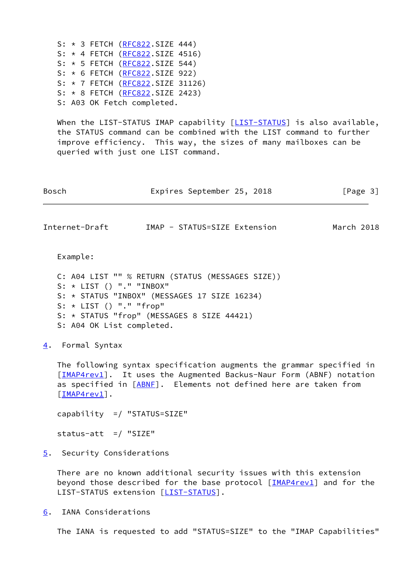S: \* 3 FETCH [\(RFC822](https://datatracker.ietf.org/doc/pdf/rfc822).SIZE 444) S: \* 4 FETCH [\(RFC822](https://datatracker.ietf.org/doc/pdf/rfc822).SIZE 4516) S: \* 5 FETCH [\(RFC822](https://datatracker.ietf.org/doc/pdf/rfc822).SIZE 544) S: \* 6 FETCH [\(RFC822](https://datatracker.ietf.org/doc/pdf/rfc822).SIZE 922) S: \* 7 FETCH [\(RFC822](https://datatracker.ietf.org/doc/pdf/rfc822).SIZE 31126) S: \* 8 FETCH [\(RFC822](https://datatracker.ietf.org/doc/pdf/rfc822).SIZE 2423) S: A03 OK Fetch completed.

When the LIST-STATUS IMAP capability [\[LIST-STATUS](#page-4-6)] is also available, the STATUS command can be combined with the LIST command to further improve efficiency. This way, the sizes of many mailboxes can be queried with just one LIST command.

<span id="page-3-1"></span>

| Bosch                                                  | Expires September 25, 2018                                                                                                                     | [Page 3]   |
|--------------------------------------------------------|------------------------------------------------------------------------------------------------------------------------------------------------|------------|
| Internet-Draft                                         | IMAP - STATUS=SIZE Extension                                                                                                                   | March 2018 |
| Example:                                               |                                                                                                                                                |            |
| $S: *$ LIST () "." "INBOX"<br>$S: * LIST() "." "frop"$ | C: A04 LIST "" % RETURN (STATUS (MESSAGES SIZE))<br>S: * STATUS "INBOX" (MESSAGES 17 SIZE 16234)<br>S: * STATUS "frop" (MESSAGES 8 SIZE 44421) |            |
| S: A04 OK List completed.                              |                                                                                                                                                |            |

<span id="page-3-0"></span>[4](#page-3-0). Formal Syntax

 The following syntax specification augments the grammar specified in [\[IMAP4rev1](#page-4-5)]. It uses the Augmented Backus-Naur Form (ABNF) notation as specified in [\[ABNF](#page-4-9)]. Elements not defined here are taken from [\[IMAP4rev1](#page-4-5)].

capability =/ "STATUS=SIZE"

status-att  $=$ / "SIZE"

<span id="page-3-2"></span>[5](#page-3-2). Security Considerations

 There are no known additional security issues with this extension beyond those described for the base protocol [\[IMAP4rev1\]](#page-4-5) and for the LIST-STATUS extension [[LIST-STATUS](#page-4-6)].

<span id="page-3-3"></span>[6](#page-3-3). IANA Considerations

The IANA is requested to add "STATUS=SIZE" to the "IMAP Capabilities"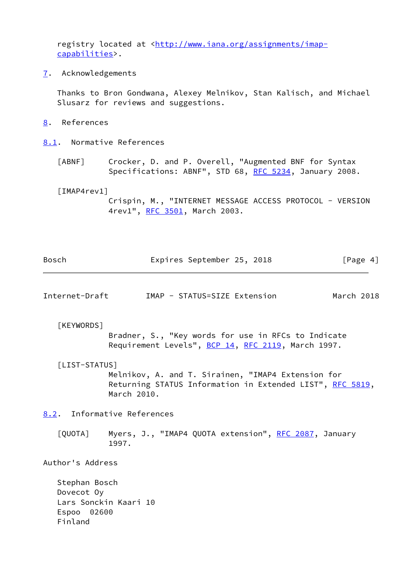registry located at [<http://www.iana.org/assignments/imap](http://www.iana.org/assignments/imap-capabilities) [capabilities](http://www.iana.org/assignments/imap-capabilities)>.

<span id="page-4-0"></span>[7](#page-4-0). Acknowledgements

 Thanks to Bron Gondwana, Alexey Melnikov, Stan Kalisch, and Michael Slusarz for reviews and suggestions.

<span id="page-4-1"></span>[8](#page-4-1). References

<span id="page-4-2"></span>[8.1](#page-4-2). Normative References

<span id="page-4-9"></span> [ABNF] Crocker, D. and P. Overell, "Augmented BNF for Syntax Specifications: ABNF", STD 68, [RFC 5234](https://datatracker.ietf.org/doc/pdf/rfc5234), January 2008.

<span id="page-4-5"></span>[IMAP4rev1]

 Crispin, M., "INTERNET MESSAGE ACCESS PROTOCOL - VERSION 4rev1", [RFC 3501,](https://datatracker.ietf.org/doc/pdf/rfc3501) March 2003.

| Bosch | Expires September 25, 2018 |  | [Page 4] |  |
|-------|----------------------------|--|----------|--|
|       |                            |  |          |  |

<span id="page-4-4"></span>Internet-Draft IMAP - STATUS=SIZE Extension March 2018

<span id="page-4-8"></span>[KEYWORDS]

 Bradner, S., "Key words for use in RFCs to Indicate Requirement Levels", [BCP 14](https://datatracker.ietf.org/doc/pdf/bcp14), [RFC 2119](https://datatracker.ietf.org/doc/pdf/rfc2119), March 1997.

<span id="page-4-6"></span>[LIST-STATUS]

 Melnikov, A. and T. Sirainen, "IMAP4 Extension for Returning STATUS Information in Extended LIST", [RFC 5819,](https://datatracker.ietf.org/doc/pdf/rfc5819) March 2010.

<span id="page-4-3"></span>[8.2](#page-4-3). Informative References

<span id="page-4-7"></span>[QUOTA] Myers, J., "IMAP4 QUOTA extension", [RFC 2087,](https://datatracker.ietf.org/doc/pdf/rfc2087) January 1997.

Author's Address

 Stephan Bosch Dovecot Oy Lars Sonckin Kaari 10 Espoo 02600 Finland